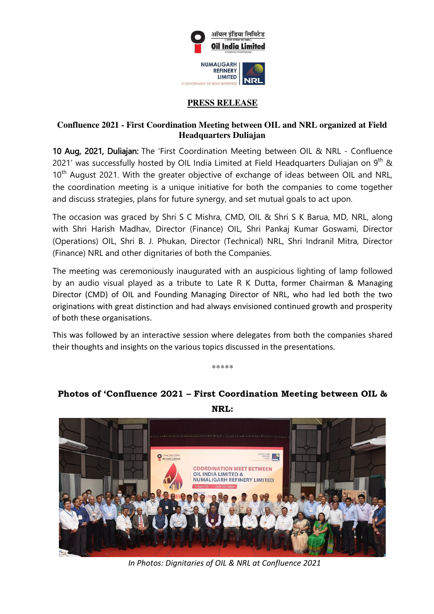

## **PRESS RELEASE**

## **Confluence 2021 - First Coordination Meeting between OIL and NRL organized at Field Headquarters Duliajan**

10 Aug, 2021, Duliajan: The 'First Coordination Meeting between OIL & NRL - Confluence 2021' was successfully hosted by OIL India Limited at Field Headquarters Duliajan on  $9<sup>th</sup>$  &  $10<sup>th</sup>$  August 2021. With the greater objective of exchange of ideas between OIL and NRL, the coordination meeting is a unique initiative for both the companies to come together and discuss strategies, plans for future synergy, and set mutual goals to act upon.

The occasion was graced by Shri S C Mishra, CMD, OIL & Shri S K Barua, MD, NRL, along with Shri Harish Madhav, Director (Finance) OIL, Shri Pankaj Kumar Goswami, Director (Operations) OIL, Shri B. J. Phukan, Director (Technical) NRL, Shri Indranil Mitra, Director (Finance) NRL and other dignitaries of both the Companies.

The meeting was ceremoniously inaugurated with an auspicious lighting of lamp followed by an audio visual played as a tribute to Late R K Dutta, former Chairman & Managing Director (CMD) of OIL and Founding Managing Director of NRL, who had led both the two originations with great distinction and had always envisioned continued growth and prosperity of both these organisations.

This was followed by an interactive session where delegates from both the companies shared their thoughts and insights on the various topics discussed in the presentations.

\*\*\*\*\*



## **Photos of 'Confluence 2021 – First Coordination Meeting between OIL &**

**NRL:** 

 *In Photos: Dignitaries of OIL & NRL at Confluence 2021*